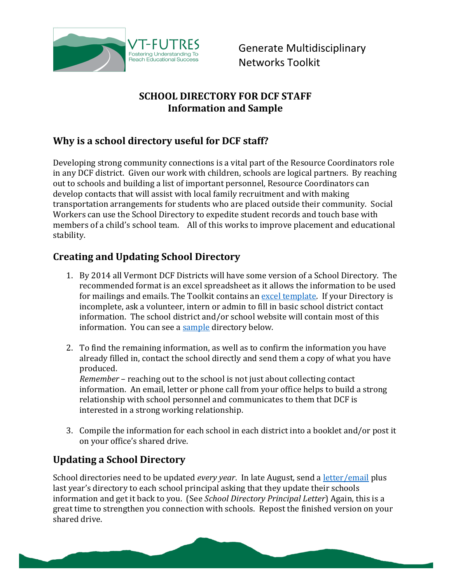

Generate Multidisciplinary Networks Toolkit

#### **SCHOOL DIRECTORY FOR DCF STAFF Information and Sample**

## **Why is a school directory useful for DCF staff?**

Developing strong community connections is a vital part of the Resource Coordinators role in any DCF district. Given our work with children, schools are logical partners. By reaching out to schools and building a list of important personnel, Resource Coordinators can develop contacts that will assist with local family recruitment and with making transportation arrangements for students who are placed outside their community. Social Workers can use the School Directory to expedite student records and touch base with members of a child's school team. All of this works to improve placement and educational stability.

### **Creating and Updating School Directory**

- 1. By 2014 all Vermont DCF Districts will have some version of a School Directory. The recommended format is an excel spreadsheet as it allows the information to be used for mailings and emails. The Toolkit contains an [excel template.](http://vtfutres.org/wp-content/uploads/2013/12/1-G-2-School-Directory-Template.xls) If your Directory is incomplete, ask a volunteer, intern or admin to fill in basic school district contact information. The school district and/or school website will contain most of this information. You can see a [sample](#page-1-0) directory below.
- 2. To find the remaining information, as well as to confirm the information you have already filled in, contact the school directly and send them a copy of what you have produced. *Remember* – reaching out to the school is not just about collecting contact

information. An email, letter or phone call from your office helps to build a strong relationship with school personnel and communicates to them that DCF is interested in a strong working relationship.

3. Compile the information for each school in each district into a booklet and/or post it on your office's shared drive.

## **Updating a School Directory**

School directories need to be updated *every year*. In late August, send [a letter/email](http://vtfutres.org/wp-content/uploads/2013/12/1-G-4-School-Directory-Principal-Letter.doc) plus last year's directory to each school principal asking that they update their schools information and get it back to you. (See *School Directory Principal Letter*) Again, this is a great time to strengthen you connection with schools. Repost the finished version on your shared drive.